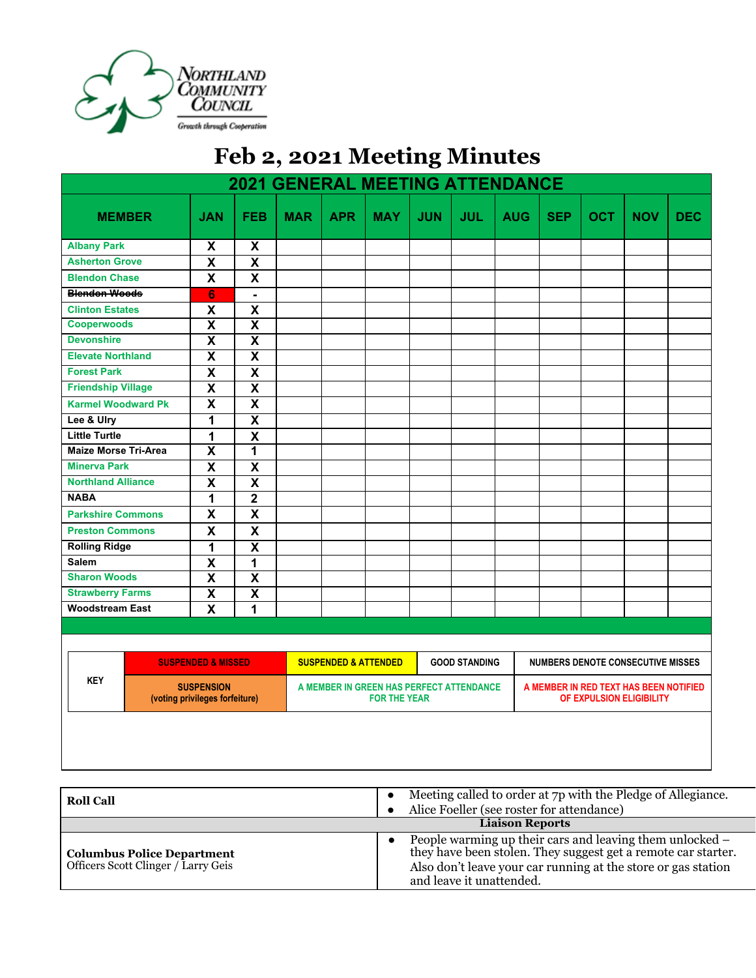

## **Feb 2, 2021 Meeting Minutes**

| <b>2021 GENERAL MEETING ATTENDANCE</b>                                                             |               |                           |                                                         |            |                                                                 |            |                                   |            |                                                                    |            |            |            |            |
|----------------------------------------------------------------------------------------------------|---------------|---------------------------|---------------------------------------------------------|------------|-----------------------------------------------------------------|------------|-----------------------------------|------------|--------------------------------------------------------------------|------------|------------|------------|------------|
|                                                                                                    | <b>MEMBER</b> | <b>JAN</b>                | <b>FEB</b>                                              | <b>MAR</b> | <b>APR</b>                                                      | <b>MAY</b> | <b>JUN</b>                        | <b>JUL</b> | <b>AUG</b>                                                         | <b>SEP</b> | <b>OCT</b> | <b>NOV</b> | <b>DEC</b> |
| <b>Albany Park</b>                                                                                 |               | X                         | X                                                       |            |                                                                 |            |                                   |            |                                                                    |            |            |            |            |
| <b>Asherton Grove</b>                                                                              |               | $\overline{\mathbf{X}}$   | $\overline{\mathbf{x}}$                                 |            |                                                                 |            |                                   |            |                                                                    |            |            |            |            |
| <b>Blendon Chase</b>                                                                               |               | $\boldsymbol{\mathsf{X}}$ | $\boldsymbol{\mathsf{x}}$                               |            |                                                                 |            |                                   |            |                                                                    |            |            |            |            |
| <b>Blendon Woods</b>                                                                               |               | $6\phantom{1}$            | $\blacksquare$                                          |            |                                                                 |            |                                   |            |                                                                    |            |            |            |            |
| <b>Clinton Estates</b>                                                                             |               | $\pmb{\mathsf{X}}$        | $\pmb{\mathsf{X}}$                                      |            |                                                                 |            |                                   |            |                                                                    |            |            |            |            |
| <b>Cooperwoods</b>                                                                                 |               | $\overline{\mathbf{X}}$   | $\overline{\mathbf{x}}$                                 |            |                                                                 |            |                                   |            |                                                                    |            |            |            |            |
| <b>Devonshire</b>                                                                                  |               | $\overline{\mathsf{x}}$   | $\overline{\mathbf{x}}$                                 |            |                                                                 |            |                                   |            |                                                                    |            |            |            |            |
| <b>Elevate Northland</b>                                                                           |               | $\overline{\mathsf{x}}$   | $\overline{\mathbf{x}}$                                 |            |                                                                 |            |                                   |            |                                                                    |            |            |            |            |
| <b>Forest Park</b>                                                                                 |               | $\overline{\mathbf{x}}$   | $\overline{\mathbf{x}}$                                 |            |                                                                 |            |                                   |            |                                                                    |            |            |            |            |
| <b>Friendship Village</b>                                                                          |               | $\overline{\mathbf{x}}$   | $\overline{\mathbf{x}}$                                 |            |                                                                 |            |                                   |            |                                                                    |            |            |            |            |
| <b>Karmel Woodward Pk</b>                                                                          |               | $\overline{\mathbf{x}}$   | $\overline{\mathbf{x}}$                                 |            |                                                                 |            |                                   |            |                                                                    |            |            |            |            |
| Lee & Ulry                                                                                         |               | $\overline{1}$            | $\overline{\mathbf{x}}$                                 |            |                                                                 |            |                                   |            |                                                                    |            |            |            |            |
| <b>Little Turtle</b>                                                                               |               | 1                         | $\mathbf x$                                             |            |                                                                 |            |                                   |            |                                                                    |            |            |            |            |
| <b>Maize Morse Tri-Area</b>                                                                        |               | $\overline{\mathbf{x}}$   | 1                                                       |            |                                                                 |            |                                   |            |                                                                    |            |            |            |            |
| <b>Minerva Park</b>                                                                                |               | $\overline{\mathbf{x}}$   | $\overline{\mathbf{x}}$                                 |            |                                                                 |            |                                   |            |                                                                    |            |            |            |            |
| <b>Northland Alliance</b>                                                                          |               | $\overline{\mathbf{x}}$   | $\overline{\mathbf{x}}$                                 |            |                                                                 |            |                                   |            |                                                                    |            |            |            |            |
| <b>NABA</b>                                                                                        |               | 1                         | $\overline{2}$                                          |            |                                                                 |            |                                   |            |                                                                    |            |            |            |            |
| <b>Parkshire Commons</b>                                                                           |               | X                         | $\boldsymbol{\mathsf{x}}$                               |            |                                                                 |            |                                   |            |                                                                    |            |            |            |            |
| <b>Preston Commons</b>                                                                             |               | $\overline{\mathsf{X}}$   | $\boldsymbol{\mathsf{x}}$                               |            |                                                                 |            |                                   |            |                                                                    |            |            |            |            |
| <b>Rolling Ridge</b>                                                                               |               | 1                         | $\overline{\mathbf{X}}$                                 |            |                                                                 |            |                                   |            |                                                                    |            |            |            |            |
| <b>Salem</b>                                                                                       |               | $\boldsymbol{\mathsf{X}}$ | 1                                                       |            |                                                                 |            |                                   |            |                                                                    |            |            |            |            |
| <b>Sharon Woods</b>                                                                                |               | $\overline{\mathbf{x}}$   | $\overline{\mathbf{x}}$                                 |            |                                                                 |            |                                   |            |                                                                    |            |            |            |            |
| <b>Strawberry Farms</b>                                                                            |               | $\overline{\mathbf{x}}$   | $\overline{\mathbf{X}}$                                 |            |                                                                 |            |                                   |            |                                                                    |            |            |            |            |
| <b>Woodstream East</b>                                                                             |               | $\boldsymbol{\mathsf{x}}$ | 1                                                       |            |                                                                 |            |                                   |            |                                                                    |            |            |            |            |
|                                                                                                    |               |                           |                                                         |            |                                                                 |            |                                   |            |                                                                    |            |            |            |            |
|                                                                                                    |               |                           |                                                         |            |                                                                 |            |                                   |            |                                                                    |            |            |            |            |
| <b>SUSPENDED &amp; MISSED</b><br><b>KEY</b><br><b>SUSPENSION</b><br>(voting privileges forfeiture) |               |                           | <b>SUSPENDED &amp; ATTENDED</b><br><b>GOOD STANDING</b> |            |                                                                 |            | NUMBERS DENOTE CONSECUTIVE MISSES |            |                                                                    |            |            |            |            |
|                                                                                                    |               |                           |                                                         |            | A MEMBER IN GREEN HAS PERFECT ATTENDANCE<br><b>FOR THE YEAR</b> |            |                                   |            | A MEMBER IN RED TEXT HAS BEEN NOTIFIED<br>OF EXPULSION ELIGIBILITY |            |            |            |            |
|                                                                                                    |               |                           |                                                         |            |                                                                 |            |                                   |            |                                                                    |            |            |            |            |

| <b>Roll Call</b>                                                         | Meeting called to order at 7p with the Pledge of Allegiance.<br>$\bullet$<br>Alice Foeller (see roster for attendance)                                                                                                 |
|--------------------------------------------------------------------------|------------------------------------------------------------------------------------------------------------------------------------------------------------------------------------------------------------------------|
|                                                                          | <b>Liaison Reports</b>                                                                                                                                                                                                 |
| <b>Columbus Police Department</b><br>Officers Scott Clinger / Larry Geis | People warming up their cars and leaving them unlocked –<br>they have been stolen. They suggest get a remote car starter.<br>Also don't leave your car running at the store or gas station<br>and leave it unattended. |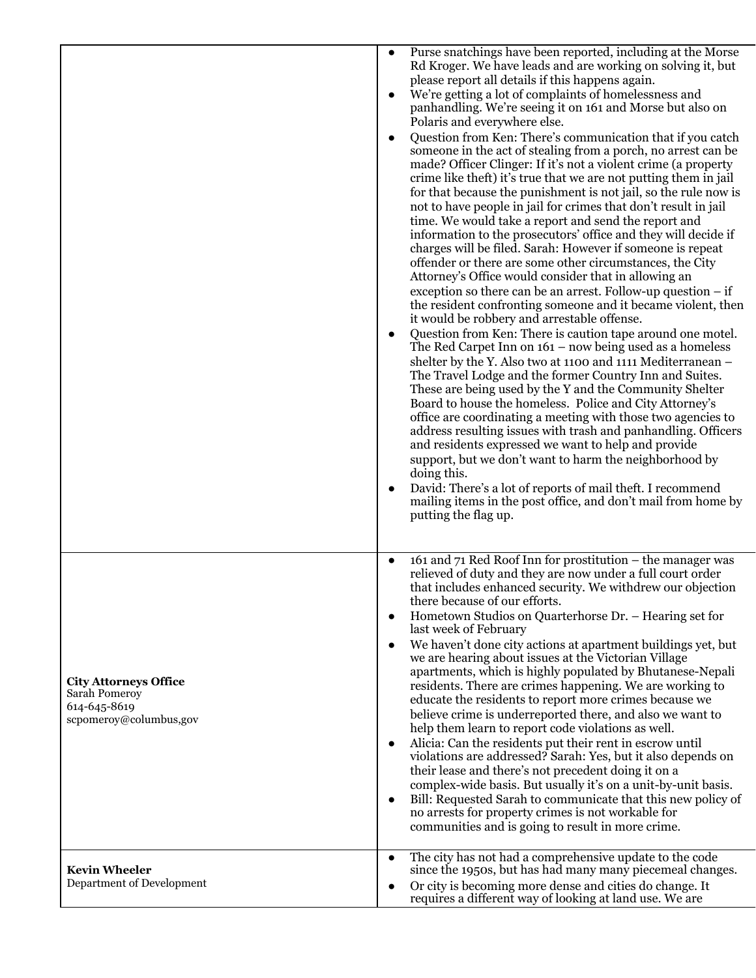|                                                                                         | $\bullet$              | Purse snatchings have been reported, including at the Morse<br>Rd Kroger. We have leads and are working on solving it, but<br>please report all details if this happens again.<br>We're getting a lot of complaints of homelessness and<br>panhandling. We're seeing it on 161 and Morse but also on<br>Polaris and everywhere else.<br>Question from Ken: There's communication that if you catch<br>someone in the act of stealing from a porch, no arrest can be<br>made? Officer Clinger: If it's not a violent crime (a property<br>crime like theft) it's true that we are not putting them in jail<br>for that because the punishment is not jail, so the rule now is<br>not to have people in jail for crimes that don't result in jail<br>time. We would take a report and send the report and<br>information to the prosecutors' office and they will decide if<br>charges will be filed. Sarah: However if someone is repeat<br>offender or there are some other circumstances, the City<br>Attorney's Office would consider that in allowing an<br>exception so there can be an arrest. Follow-up question $-$ if<br>the resident confronting someone and it became violent, then<br>it would be robbery and arrestable offense.<br>Question from Ken: There is caution tape around one motel.<br>The Red Carpet Inn on $161 - now being used as a homeless$<br>shelter by the Y. Also two at 1100 and 1111 Mediterranean -<br>The Travel Lodge and the former Country Inn and Suites.<br>These are being used by the Y and the Community Shelter<br>Board to house the homeless. Police and City Attorney's<br>office are coordinating a meeting with those two agencies to<br>address resulting issues with trash and panhandling. Officers<br>and residents expressed we want to help and provide<br>support, but we don't want to harm the neighborhood by<br>doing this.<br>David: There's a lot of reports of mail theft. I recommend<br>mailing items in the post office, and don't mail from home by |
|-----------------------------------------------------------------------------------------|------------------------|--------------------------------------------------------------------------------------------------------------------------------------------------------------------------------------------------------------------------------------------------------------------------------------------------------------------------------------------------------------------------------------------------------------------------------------------------------------------------------------------------------------------------------------------------------------------------------------------------------------------------------------------------------------------------------------------------------------------------------------------------------------------------------------------------------------------------------------------------------------------------------------------------------------------------------------------------------------------------------------------------------------------------------------------------------------------------------------------------------------------------------------------------------------------------------------------------------------------------------------------------------------------------------------------------------------------------------------------------------------------------------------------------------------------------------------------------------------------------------------------------------------------------------------------------------------------------------------------------------------------------------------------------------------------------------------------------------------------------------------------------------------------------------------------------------------------------------------------------------------------------------------------------------------------------------------------------------------------------------------------------------------------------|
| <b>City Attorneys Office</b><br>Sarah Pomeroy<br>614-645-8619<br>scpomeroy@columbus,gov | $\bullet$<br>$\bullet$ | putting the flag up.<br>161 and 71 Red Roof Inn for prostitution – the manager was<br>relieved of duty and they are now under a full court order<br>that includes enhanced security. We withdrew our objection<br>there because of our efforts.<br>Hometown Studios on Quarterhorse Dr. - Hearing set for<br>last week of February<br>We haven't done city actions at apartment buildings yet, but<br>we are hearing about issues at the Victorian Village<br>apartments, which is highly populated by Bhutanese-Nepali<br>residents. There are crimes happening. We are working to<br>educate the residents to report more crimes because we<br>believe crime is underreported there, and also we want to<br>help them learn to report code violations as well.<br>Alicia: Can the residents put their rent in escrow until<br>violations are addressed? Sarah: Yes, but it also depends on<br>their lease and there's not precedent doing it on a<br>complex-wide basis. But usually it's on a unit-by-unit basis.<br>Bill: Requested Sarah to communicate that this new policy of<br>no arrests for property crimes is not workable for<br>communities and is going to result in more crime.                                                                                                                                                                                                                                                                                                                                                                                                                                                                                                                                                                                                                                                                                                                                                                                                                          |
| <b>Kevin Wheeler</b><br>Department of Development                                       | $\bullet$              | The city has not had a comprehensive update to the code<br>since the 1950s, but has had many many piecemeal changes.<br>Or city is becoming more dense and cities do change. It<br>requires a different way of looking at land use. We are                                                                                                                                                                                                                                                                                                                                                                                                                                                                                                                                                                                                                                                                                                                                                                                                                                                                                                                                                                                                                                                                                                                                                                                                                                                                                                                                                                                                                                                                                                                                                                                                                                                                                                                                                                               |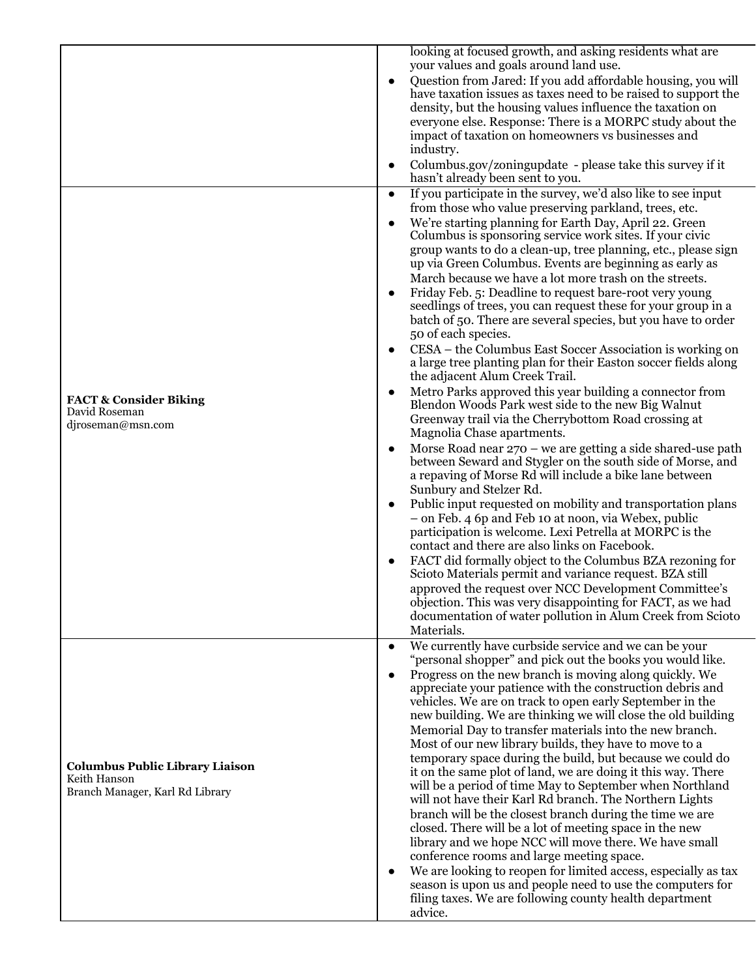|                                                        | looking at focused growth, and asking residents what are                                                                                  |
|--------------------------------------------------------|-------------------------------------------------------------------------------------------------------------------------------------------|
|                                                        | your values and goals around land use.<br>Question from Jared: If you add affordable housing, you will<br>$\bullet$                       |
|                                                        | have taxation issues as taxes need to be raised to support the                                                                            |
|                                                        | density, but the housing values influence the taxation on                                                                                 |
|                                                        | everyone else. Response: There is a MORPC study about the                                                                                 |
|                                                        | impact of taxation on homeowners vs businesses and<br>industry.                                                                           |
|                                                        | Columbus.gov/zoningupdate - please take this survey if it<br>hasn't already been sent to you.                                             |
|                                                        | If you participate in the survey, we'd also like to see input<br>$\bullet$                                                                |
|                                                        | from those who value preserving parkland, trees, etc.                                                                                     |
|                                                        | We're starting planning for Earth Day, April 22. Green<br>$\bullet$<br>Columbus is sponsoring service work sites. If your civic           |
|                                                        | group wants to do a clean-up, tree planning, etc., please sign                                                                            |
|                                                        | up via Green Columbus. Events are beginning as early as                                                                                   |
|                                                        | March because we have a lot more trash on the streets.                                                                                    |
|                                                        | Friday Feb. 5: Deadline to request bare-root very young<br>seedlings of trees, you can request these for your group in a                  |
|                                                        | batch of 50. There are several species, but you have to order                                                                             |
|                                                        | 50 of each species.                                                                                                                       |
|                                                        | CESA – the Columbus East Soccer Association is working on<br>a large tree planting plan for their Easton soccer fields along              |
|                                                        | the adjacent Alum Creek Trail.                                                                                                            |
| <b>FACT &amp; Consider Biking</b>                      | Metro Parks approved this year building a connector from                                                                                  |
| David Roseman                                          | Blendon Woods Park west side to the new Big Walnut                                                                                        |
| djroseman@msn.com                                      | Greenway trail via the Cherrybottom Road crossing at<br>Magnolia Chase apartments.                                                        |
|                                                        | Morse Road near $270$ – we are getting a side shared-use path                                                                             |
|                                                        | between Seward and Stygler on the south side of Morse, and                                                                                |
|                                                        | a repaving of Morse Rd will include a bike lane between<br>Sunbury and Stelzer Rd.                                                        |
|                                                        | Public input requested on mobility and transportation plans<br>$\bullet$                                                                  |
|                                                        | - on Feb. 4 6p and Feb 10 at noon, via Webex, public                                                                                      |
|                                                        | participation is welcome. Lexi Petrella at MORPC is the                                                                                   |
|                                                        | contact and there are also links on Facebook.<br>FACT did formally object to the Columbus BZA rezoning for                                |
|                                                        | Scioto Materials permit and variance request. BZA still                                                                                   |
|                                                        | approved the request over NCC Development Committee's                                                                                     |
|                                                        | objection. This was very disappointing for FACT, as we had<br>documentation of water pollution in Alum Creek from Scioto                  |
|                                                        | Materials.                                                                                                                                |
|                                                        | We currently have curbside service and we can be your<br>$\bullet$                                                                        |
|                                                        | "personal shopper" and pick out the books you would like.                                                                                 |
|                                                        | Progress on the new branch is moving along quickly. We<br>$\bullet$<br>appreciate your patience with the construction debris and          |
|                                                        | vehicles. We are on track to open early September in the                                                                                  |
|                                                        | new building. We are thinking we will close the old building                                                                              |
|                                                        | Memorial Day to transfer materials into the new branch.                                                                                   |
|                                                        | Most of our new library builds, they have to move to a<br>temporary space during the build, but because we could do                       |
| <b>Columbus Public Library Liaison</b><br>Keith Hanson | it on the same plot of land, we are doing it this way. There                                                                              |
| Branch Manager, Karl Rd Library                        | will be a period of time May to September when Northland                                                                                  |
|                                                        | will not have their Karl Rd branch. The Northern Lights<br>branch will be the closest branch during the time we are                       |
|                                                        | closed. There will be a lot of meeting space in the new                                                                                   |
|                                                        | library and we hope NCC will move there. We have small                                                                                    |
|                                                        | conference rooms and large meeting space.                                                                                                 |
|                                                        | We are looking to reopen for limited access, especially as tax<br>$\bullet$<br>season is upon us and people need to use the computers for |
|                                                        | filing taxes. We are following county health department                                                                                   |
|                                                        | advice.                                                                                                                                   |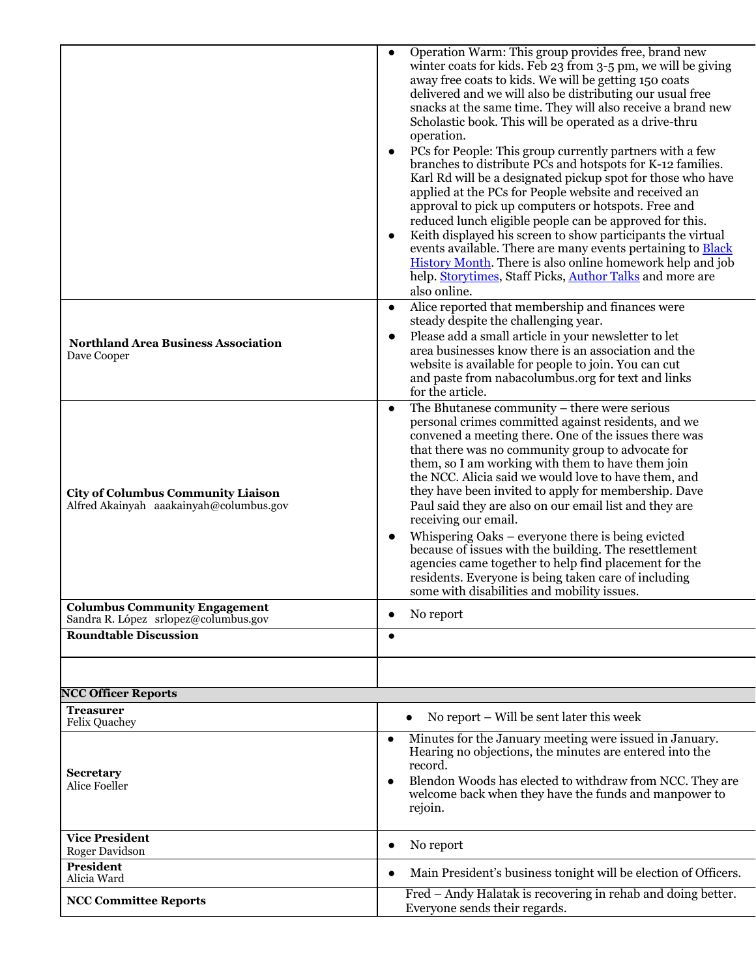|                                                                                      | Operation Warm: This group provides free, brand new<br>$\bullet$<br>winter coats for kids. Feb 23 from 3-5 pm, we will be giving<br>away free coats to kids. We will be getting 150 coats<br>delivered and we will also be distributing our usual free<br>snacks at the same time. They will also receive a brand new<br>Scholastic book. This will be operated as a drive-thru<br>operation.<br>PCs for People: This group currently partners with a few<br>$\bullet$<br>branches to distribute PCs and hotspots for K-12 families.<br>Karl Rd will be a designated pickup spot for those who have<br>applied at the PCs for People website and received an                                                                                                                       |  |  |  |
|--------------------------------------------------------------------------------------|------------------------------------------------------------------------------------------------------------------------------------------------------------------------------------------------------------------------------------------------------------------------------------------------------------------------------------------------------------------------------------------------------------------------------------------------------------------------------------------------------------------------------------------------------------------------------------------------------------------------------------------------------------------------------------------------------------------------------------------------------------------------------------|--|--|--|
|                                                                                      | approval to pick up computers or hotspots. Free and<br>reduced lunch eligible people can be approved for this.<br>Keith displayed his screen to show participants the virtual<br>$\bullet$<br>events available. There are many events pertaining to <b>Black</b><br><b>History Month.</b> There is also online homework help and job<br>help. Storytimes, Staff Picks, Author Talks and more are<br>also online.                                                                                                                                                                                                                                                                                                                                                                   |  |  |  |
| <b>Northland Area Business Association</b><br>Dave Cooper                            | Alice reported that membership and finances were<br>$\bullet$<br>steady despite the challenging year.<br>Please add a small article in your newsletter to let<br>$\bullet$<br>area businesses know there is an association and the<br>website is available for people to join. You can cut<br>and paste from nabacolumbus.org for text and links<br>for the article.                                                                                                                                                                                                                                                                                                                                                                                                               |  |  |  |
| <b>City of Columbus Community Liaison</b><br>Alfred Akainyah aaakainyah@columbus.gov | The Bhutanese community $-$ there were serious<br>$\bullet$<br>personal crimes committed against residents, and we<br>convened a meeting there. One of the issues there was<br>that there was no community group to advocate for<br>them, so I am working with them to have them join<br>the NCC. Alicia said we would love to have them, and<br>they have been invited to apply for membership. Dave<br>Paul said they are also on our email list and they are<br>receiving our email.<br>Whispering Oaks – everyone there is being evicted<br>$\bullet$<br>because of issues with the building. The resettlement<br>agencies came together to help find placement for the<br>residents. Everyone is being taken care of including<br>some with disabilities and mobility issues. |  |  |  |
| <b>Columbus Community Engagement</b><br>Sandra R. López srlopez@columbus.gov         | No report                                                                                                                                                                                                                                                                                                                                                                                                                                                                                                                                                                                                                                                                                                                                                                          |  |  |  |
| <b>Roundtable Discussion</b>                                                         | $\bullet$                                                                                                                                                                                                                                                                                                                                                                                                                                                                                                                                                                                                                                                                                                                                                                          |  |  |  |
| <b>NCC Officer Reports</b>                                                           |                                                                                                                                                                                                                                                                                                                                                                                                                                                                                                                                                                                                                                                                                                                                                                                    |  |  |  |
| <b>Treasurer</b><br>Felix Quachey                                                    | No report – Will be sent later this week<br>$\bullet$                                                                                                                                                                                                                                                                                                                                                                                                                                                                                                                                                                                                                                                                                                                              |  |  |  |
| <b>Secretary</b><br>Alice Foeller                                                    | Minutes for the January meeting were issued in January.<br>$\bullet$<br>Hearing no objections, the minutes are entered into the<br>record.<br>Blendon Woods has elected to withdraw from NCC. They are<br>$\bullet$<br>welcome back when they have the funds and manpower to<br>rejoin.                                                                                                                                                                                                                                                                                                                                                                                                                                                                                            |  |  |  |
| <b>Vice President</b><br>Roger Davidson                                              | No report<br>$\bullet$                                                                                                                                                                                                                                                                                                                                                                                                                                                                                                                                                                                                                                                                                                                                                             |  |  |  |
| <b>President</b><br>Alicia Ward                                                      | Main President's business tonight will be election of Officers.<br>$\bullet$                                                                                                                                                                                                                                                                                                                                                                                                                                                                                                                                                                                                                                                                                                       |  |  |  |
| <b>NCC Committee Reports</b>                                                         | Fred – Andy Halatak is recovering in rehab and doing better.<br>Everyone sends their regards.                                                                                                                                                                                                                                                                                                                                                                                                                                                                                                                                                                                                                                                                                      |  |  |  |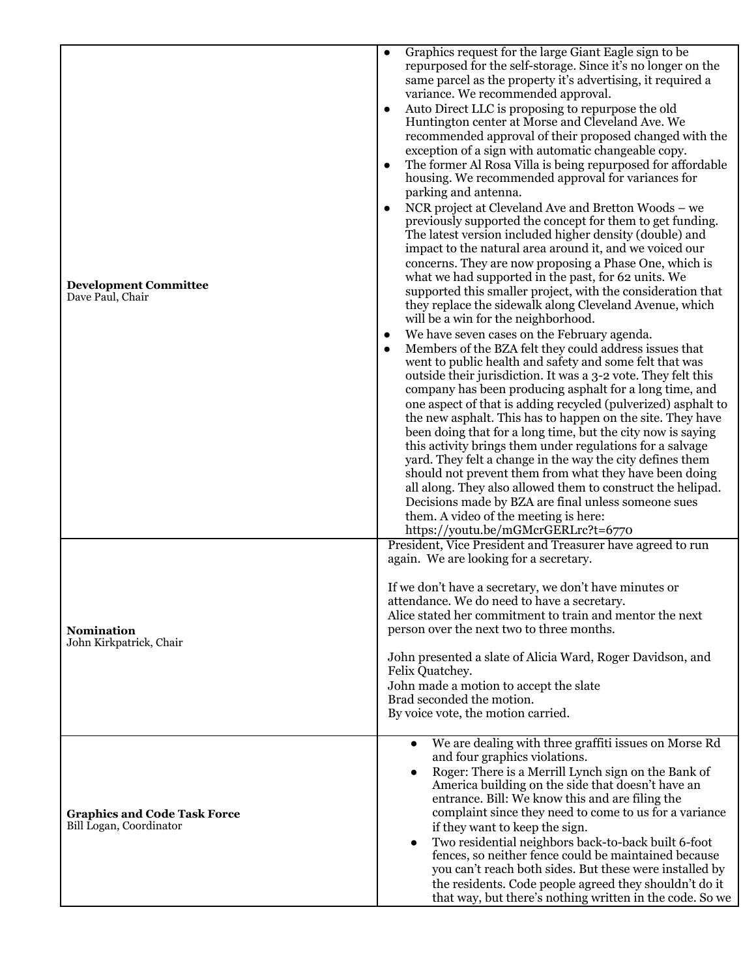| <b>Development Committee</b><br>Dave Paul, Chair               | Auto Direct LLC is proposing to repurpose the old<br>$\bullet$<br>Huntington center at Morse and Cleveland Ave. We<br>recommended approval of their proposed changed with the<br>exception of a sign with automatic changeable copy.<br>The former Al Rosa Villa is being repurposed for affordable<br>housing. We recommended approval for variances for<br>parking and antenna.<br>NCR project at Cleveland Ave and Bretton Woods - we<br>previously supported the concept for them to get funding.<br>The latest version included higher density (double) and<br>impact to the natural area around it, and we voiced our<br>concerns. They are now proposing a Phase One, which is<br>what we had supported in the past, for 62 units. We<br>supported this smaller project, with the consideration that<br>they replace the sidewalk along Cleveland Avenue, which<br>will be a win for the neighborhood.<br>We have seven cases on the February agenda.<br>$\bullet$<br>Members of the BZA felt they could address issues that<br>went to public health and safety and some felt that was<br>outside their jurisdiction. It was a 3-2 vote. They felt this<br>company has been producing asphalt for a long time, and<br>one aspect of that is adding recycled (pulverized) asphalt to<br>the new asphalt. This has to happen on the site. They have<br>been doing that for a long time, but the city now is saying |  |  |  |  |
|----------------------------------------------------------------|--------------------------------------------------------------------------------------------------------------------------------------------------------------------------------------------------------------------------------------------------------------------------------------------------------------------------------------------------------------------------------------------------------------------------------------------------------------------------------------------------------------------------------------------------------------------------------------------------------------------------------------------------------------------------------------------------------------------------------------------------------------------------------------------------------------------------------------------------------------------------------------------------------------------------------------------------------------------------------------------------------------------------------------------------------------------------------------------------------------------------------------------------------------------------------------------------------------------------------------------------------------------------------------------------------------------------------------------------------------------------------------------------------------------------|--|--|--|--|
|                                                                | this activity brings them under regulations for a salvage<br>yard. They felt a change in the way the city defines them<br>should not prevent them from what they have been doing<br>all along. They also allowed them to construct the helipad.<br>Decisions made by BZA are final unless someone sues<br>them. A video of the meeting is here:<br>https://youtu.be/mGMcrGERLrc?t=6770                                                                                                                                                                                                                                                                                                                                                                                                                                                                                                                                                                                                                                                                                                                                                                                                                                                                                                                                                                                                                                   |  |  |  |  |
|                                                                | President, Vice President and Treasurer have agreed to run<br>again. We are looking for a secretary.                                                                                                                                                                                                                                                                                                                                                                                                                                                                                                                                                                                                                                                                                                                                                                                                                                                                                                                                                                                                                                                                                                                                                                                                                                                                                                                     |  |  |  |  |
| <b>Nomination</b><br>John Kirkpatrick, Chair                   | If we don't have a secretary, we don't have minutes or<br>attendance. We do need to have a secretary.<br>Alice stated her commitment to train and mentor the next<br>person over the next two to three months.                                                                                                                                                                                                                                                                                                                                                                                                                                                                                                                                                                                                                                                                                                                                                                                                                                                                                                                                                                                                                                                                                                                                                                                                           |  |  |  |  |
|                                                                | John presented a slate of Alicia Ward, Roger Davidson, and<br>Felix Quatchey.<br>John made a motion to accept the slate<br>Brad seconded the motion.<br>By voice vote, the motion carried.                                                                                                                                                                                                                                                                                                                                                                                                                                                                                                                                                                                                                                                                                                                                                                                                                                                                                                                                                                                                                                                                                                                                                                                                                               |  |  |  |  |
| <b>Graphics and Code Task Force</b><br>Bill Logan, Coordinator | We are dealing with three graffiti issues on Morse Rd<br>$\bullet$<br>and four graphics violations.<br>Roger: There is a Merrill Lynch sign on the Bank of<br>America building on the side that doesn't have an<br>entrance. Bill: We know this and are filing the<br>complaint since they need to come to us for a variance<br>if they want to keep the sign.<br>Two residential neighbors back-to-back built 6-foot<br>$\bullet$<br>fences, so neither fence could be maintained because<br>you can't reach both sides. But these were installed by<br>the residents. Code people agreed they shouldn't do it<br>that way, but there's nothing written in the code. So we                                                                                                                                                                                                                                                                                                                                                                                                                                                                                                                                                                                                                                                                                                                                              |  |  |  |  |